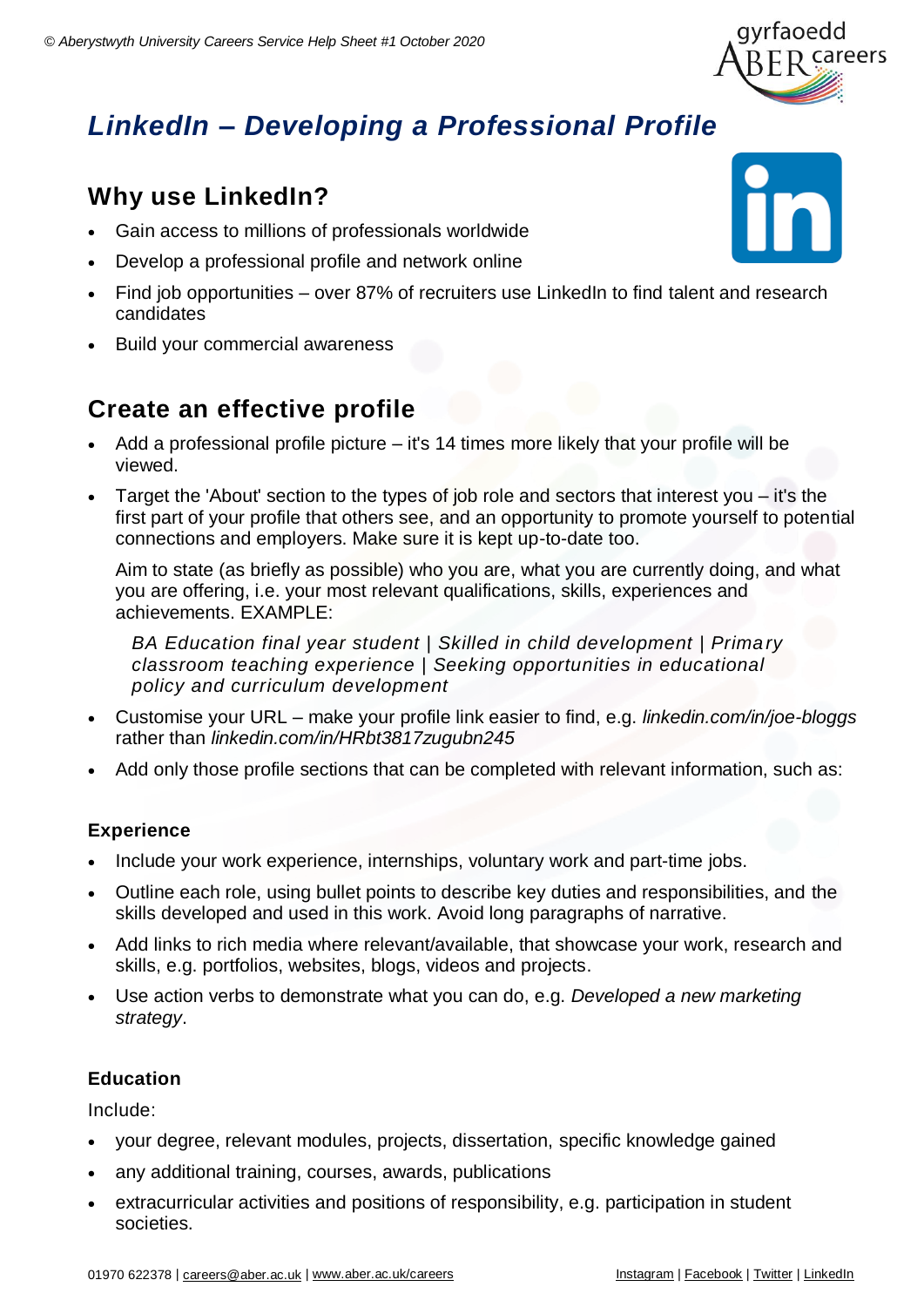

# *LinkedIn – Developing a Professional Profile*

## **Why use LinkedIn?**

- Gain access to millions of professionals worldwide
- Develop a professional profile and network online
- Find job opportunities over 87% of recruiters use LinkedIn to find talent and research candidates
- Build your commercial awareness

## **Create an effective profile**

- $\bullet$  Add a professional profile picture it's 14 times more likely that your profile will be viewed.
- Target the 'About' section to the types of job role and sectors that interest you it's the first part of your profile that others see, and an opportunity to promote yourself to potential connections and employers. Make sure it is kept up-to-date too.

Aim to state (as briefly as possible) who you are, what you are currently doing, and what you are offering, i.e. your most relevant qualifications, skills, experiences and achievements. EXAMPLE:

*BA Education final year student | Skilled in child development | Prima ry classroom teaching experience | Seeking opportunities in educational policy and curriculum development*

- Customise your URL make your profile link easier to find, e.g. *linkedin.com/in/joe-bloggs* rather than *linkedin.com/in/HRbt3817zugubn245*
- Add only those profile sections that can be completed with relevant information, such as:

#### **Experience**

- Include your work experience, internships, voluntary work and part-time jobs.
- Outline each role, using bullet points to describe key duties and responsibilities, and the skills developed and used in this work. Avoid long paragraphs of narrative.
- Add links to rich media where relevant/available, that showcase your work, research and skills, e.g. portfolios, websites, blogs, videos and projects.
- Use action verbs to demonstrate what you can do, e.g. *Developed a new marketing strategy*.

#### **Education**

Include:

- your degree, relevant modules, projects, dissertation, specific knowledge gained
- any additional training, courses, awards, publications
- extracurricular activities and positions of responsibility, e.g. participation in student societies.